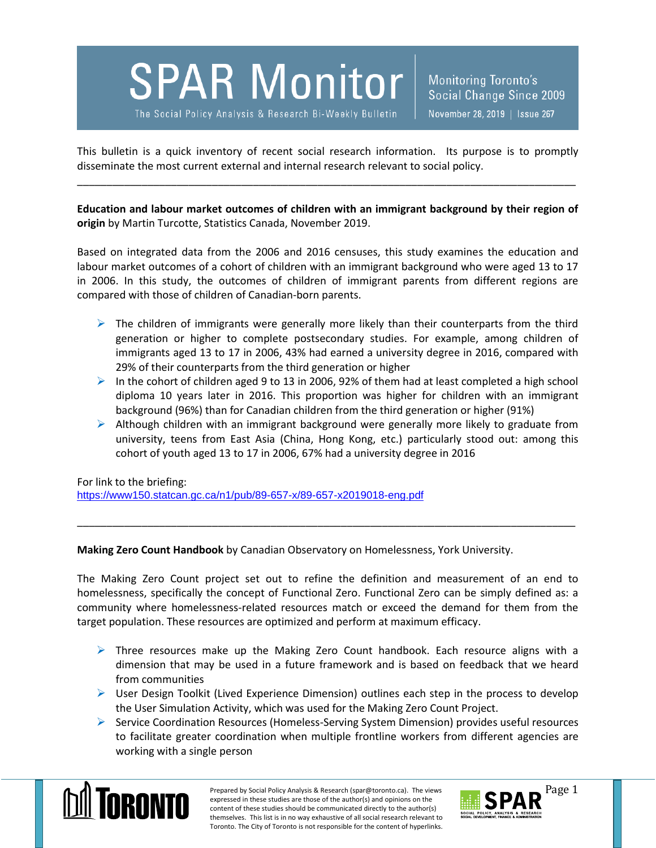**SPAR Monitor** 

The Social Policy Analysis & Research Bi-Weekly Bulletin

This bulletin is a quick inventory of recent social research information. Its purpose is to promptly disseminate the most current external and internal research relevant to social policy.

\_\_\_\_\_\_\_\_\_\_\_\_\_\_\_\_\_\_\_\_\_\_\_\_\_\_\_\_\_\_\_\_\_\_\_\_\_\_\_\_\_\_\_\_\_\_\_\_\_\_\_\_\_\_\_\_\_\_\_\_\_\_\_\_\_\_\_\_\_\_\_\_\_\_\_\_\_\_\_\_\_\_\_\_\_

**Education and labour market outcomes of children with an immigrant background by their region of origin** by Martin Turcotte, Statistics Canada, November 2019.

Based on integrated data from the 2006 and 2016 censuses, this study examines the education and labour market outcomes of a cohort of children with an immigrant background who were aged 13 to 17 in 2006. In this study, the outcomes of children of immigrant parents from different regions are compared with those of children of Canadian-born parents.

- $\triangleright$  The children of immigrants were generally more likely than their counterparts from the third generation or higher to complete postsecondary studies. For example, among children of immigrants aged 13 to 17 in 2006, 43% had earned a university degree in 2016, compared with 29% of their counterparts from the third generation or higher
- $\triangleright$  In the cohort of children aged 9 to 13 in 2006, 92% of them had at least completed a high school diploma 10 years later in 2016. This proportion was higher for children with an immigrant background (96%) than for Canadian children from the third generation or higher (91%)
- $\triangleright$  Although children with an immigrant background were generally more likely to graduate from university, teens from East Asia (China, Hong Kong, etc.) particularly stood out: among this cohort of youth aged 13 to 17 in 2006, 67% had a university degree in 2016

For link to the briefing:

<https://www150.statcan.gc.ca/n1/pub/89-657-x/89-657-x2019018-eng.pdf>

**Making Zero Count Handbook** by Canadian Observatory on Homelessness, York University.

The Making Zero Count project set out to refine the definition and measurement of an end to homelessness, specifically the concept of Functional Zero. Functional Zero can be simply defined as: a community where homelessness-related resources match or exceed the demand for them from the target population. These resources are optimized and perform at maximum efficacy.

\_\_\_\_\_\_\_\_\_\_\_\_\_\_\_\_\_\_\_\_\_\_\_\_\_\_\_\_\_\_\_\_\_\_\_\_\_\_\_\_\_\_\_\_\_\_\_\_\_\_\_\_\_\_\_\_\_\_\_\_\_\_\_\_\_\_\_\_\_\_\_\_\_\_\_\_\_\_\_\_\_\_\_\_\_

- $\triangleright$  Three resources make up the Making Zero Count handbook. Each resource aligns with a dimension that may be used in a future framework and is based on feedback that we heard from communities
- $\triangleright$  User Design Toolkit (Lived Experience Dimension) outlines each step in the process to develop the User Simulation Activity, which was used for the Making Zero Count Project.
- $\triangleright$  Service Coordination Resources (Homeless-Serving System Dimension) provides useful resources to facilitate greater coordination when multiple frontline workers from different agencies are working with a single person



Prepared by Social Policy Analysis & Research (spar@toronto.ca). The views Page 1 expressed in these studies are those of the author(s) and opinions on the content of these studies should be communicated directly to the author(s) themselves. This list is in no way exhaustive of all social research relevant to Toronto. The City of Toronto is not responsible for the content of hyperlinks.

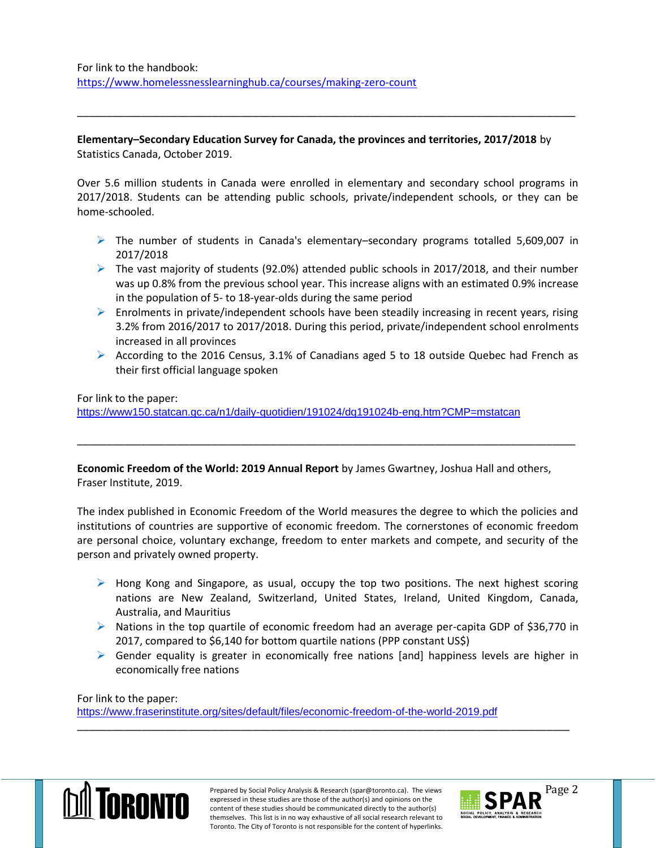## **Elementary–Secondary Education Survey for Canada, the provinces and territories, 2017/2018** by Statistics Canada, October 2019.

\_\_\_\_\_\_\_\_\_\_\_\_\_\_\_\_\_\_\_\_\_\_\_\_\_\_\_\_\_\_\_\_\_\_\_\_\_\_\_\_\_\_\_\_\_\_\_\_\_\_\_\_\_\_\_\_\_\_\_\_\_\_\_\_\_\_\_\_\_\_\_\_\_\_\_\_\_\_\_\_\_\_\_\_\_

Over 5.6 million students in Canada were enrolled in elementary and secondary school programs in 2017/2018. Students can be attending public schools, private/independent schools, or they can be home-schooled.

- $\triangleright$  The number of students in Canada's elementary–secondary programs totalled 5,609,007 in 2017/2018
- $\triangleright$  The vast majority of students (92.0%) attended public schools in 2017/2018, and their number was up 0.8% from the previous school year. This increase aligns with an estimated 0.9% increase in the population of 5- to 18-year-olds during the same period
- $\triangleright$  Enrolments in private/independent schools have been steadily increasing in recent years, rising 3.2% from 2016/2017 to 2017/2018. During this period, private/independent school enrolments increased in all provinces
- According to the 2016 Census, 3.1% of Canadians aged 5 to 18 outside Quebec had French as their first official language spoken

For link to the paper:

<https://www150.statcan.gc.ca/n1/daily-quotidien/191024/dq191024b-eng.htm?CMP=mstatcan>

**Economic Freedom of the World: 2019 Annual Report** by James Gwartney, Joshua Hall and others, Fraser Institute, 2019.

\_\_\_\_\_\_\_\_\_\_\_\_\_\_\_\_\_\_\_\_\_\_\_\_\_\_\_\_\_\_\_\_\_\_\_\_\_\_\_\_\_\_\_\_\_\_\_\_\_\_\_\_\_\_\_\_\_\_\_\_\_\_\_\_\_\_\_\_\_\_\_\_\_\_\_\_\_\_\_\_\_\_\_\_\_

The index published in Economic Freedom of the World measures the degree to which the policies and institutions of countries are supportive of economic freedom. The cornerstones of economic freedom are personal choice, voluntary exchange, freedom to enter markets and compete, and security of the person and privately owned property.

- $\triangleright$  Hong Kong and Singapore, as usual, occupy the top two positions. The next highest scoring nations are New Zealand, Switzerland, United States, Ireland, United Kingdom, Canada, Australia, and Mauritius
- $\triangleright$  Nations in the top quartile of economic freedom had an average per-capita GDP of \$36,770 in 2017, compared to \$6,140 for bottom quartile nations (PPP constant US\$)
- $\triangleright$  Gender equality is greater in economically free nations [and] happiness levels are higher in economically free nations

For link to the paper:

<https://www.fraserinstitute.org/sites/default/files/economic-freedom-of-the-world-2019.pdf>



\_\_\_\_\_\_\_\_\_\_\_\_\_\_\_\_\_\_\_\_\_\_\_\_\_\_\_\_\_\_\_\_\_\_\_\_\_\_\_\_\_\_\_\_\_\_\_\_\_\_\_\_\_\_\_\_\_\_\_\_\_\_\_\_\_\_\_\_\_\_\_\_\_\_\_\_\_\_\_\_\_\_\_\_